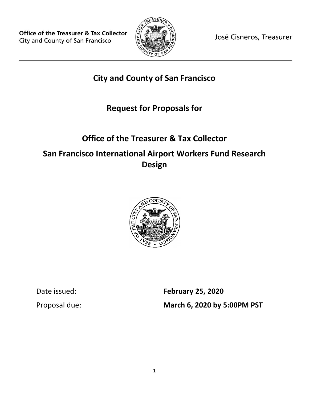

José Cisneros, Treasurer

### **City and County of San Francisco**

## **Request for Proposals for**

# **Office of the Treasurer & Tax Collector San Francisco International Airport Workers Fund Research Design**



Date issued: **February 25, 2020** Proposal due: **March 6, 2020 by 5:00PM PST**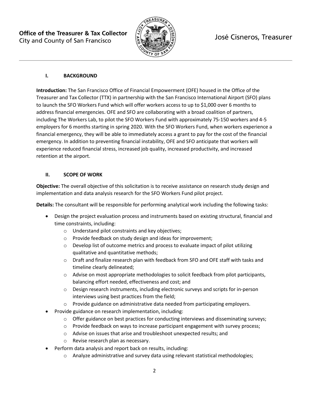

#### **I. BACKGROUND**

**Introduction:** The San Francisco Office of Financial Empowerment (OFE) housed in the Office of the Treasurer and Tax Collector (TTX) in partnership with the San Francisco International Airport (SFO) plans to launch the SFO Workers Fund which will offer workers access to up to \$1,000 over 6 months to address financial emergencies. OFE and SFO are collaborating with a broad coalition of partners, including The Workers Lab, to pilot the SFO Workers Fund with approximately 75-150 workers and 4-5 employers for 6 months starting in spring 2020. With the SFO Workers Fund, when workers experience a financial emergency, they will be able to immediately access a grant to pay for the cost of the financial emergency. In addition to preventing financial instability, OFE and SFO anticipate that workers will experience reduced financial stress, increased job quality, increased productivity, and increased retention at the airport.

#### **II. SCOPE OF WORK**

**Objective:** The overall objective of this solicitation is to receive assistance on research study design and implementation and data analysis research for the SFO Workers Fund pilot project.

**Details:** The consultant will be responsible for performing analytical work including the following tasks:

- Design the project evaluation process and instruments based on existing structural, financial and time constraints, including:
	- o Understand pilot constraints and key objectives;
	- o Provide feedback on study design and ideas for improvement;
	- o Develop list of outcome metrics and process to evaluate impact of pilot utilizing qualitative and quantitative methods;
	- o Draft and finalize research plan with feedback from SFO and OFE staff with tasks and timeline clearly delineated;
	- $\circ$  Advise on most appropriate methodologies to solicit feedback from pilot participants, balancing effort needed, effectiveness and cost; and
	- $\circ$  Design research instruments, including electronic surveys and scripts for in-person interviews using best practices from the field;
	- o Provide guidance on administrative data needed from participating employers.
- Provide guidance on research implementation, including:
	- $\circ$  Offer guidance on best practices for conducting interviews and disseminating surveys;
	- $\circ$  Provide feedback on ways to increase participant engagement with survey process;
	- o Advise on issues that arise and troubleshoot unexpected results; and
	- o Revise research plan as necessary.
- Perform data analysis and report back on results, including:
	- $\circ$  Analyze administrative and survey data using relevant statistical methodologies;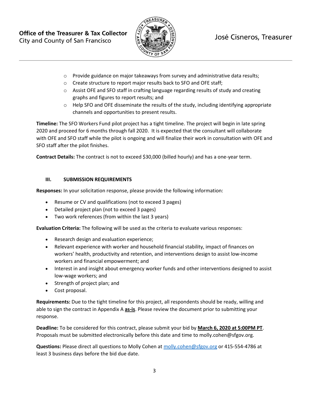

### José Cisneros, Treasurer

- $\circ$  Provide guidance on major takeaways from survey and administrative data results;
- o Create structure to report major results back to SFO and OFE staff;
- $\circ$  Assist OFE and SFO staff in crafting language regarding results of study and creating graphs and figures to report results; and
- $\circ$  Help SFO and OFE disseminate the results of the study, including identifying appropriate channels and opportunities to present results.

**Timeline:** The SFO Workers Fund pilot project has a tight timeline. The project will begin in late spring 2020 and proceed for 6 months through fall 2020. It is expected that the consultant will collaborate with OFE and SFO staff while the pilot is ongoing and will finalize their work in consultation with OFE and SFO staff after the pilot finishes.

**Contract Details:** The contract is not to exceed \$30,000 (billed hourly) and has a one-year term.

#### **III. SUBMISSION REQUIREMENTS**

**Responses:** In your solicitation response, please provide the following information:

- Resume or CV and qualifications (not to exceed 3 pages)
- Detailed project plan (not to exceed 3 pages)
- Two work references (from within the last 3 years)

**Evaluation Criteria:** The following will be used as the criteria to evaluate various responses:

- Research design and evaluation experience;
- Relevant experience with worker and household financial stability, impact of finances on workers' health, productivity and retention, and interventions design to assist low-income workers and financial empowerment; and
- Interest in and insight about emergency worker funds and other interventions designed to assist low-wage workers; and
- Strength of project plan; and
- Cost proposal.

**Requirements:** Due to the tight timeline for this project, all respondents should be ready, willing and able to sign the contract in Appendix A **as-is**. Please review the document prior to submitting your response.

**Deadline:** To be considered for this contract, please submit your bid by **March 6, 2020 at 5:00PM PT**. Proposals must be submitted electronically before this date and time to molly.cohen@sfgov.org.

**Questions:** Please direct all questions to Molly Cohen at [molly.cohen@sfgov.org](mailto:molly.cohen@sfgov.org) or 415-554-4786 at least 3 business days before the bid due date.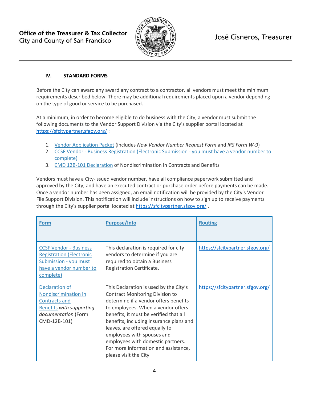

#### **IV. STANDARD FORMS**

Before the City can award any award any contract to a contractor, all vendors must meet the minimum requirements described below. There may be additional requirements placed upon a vendor depending on the type of good or service to be purchased.

At a minimum, in order to become eligible to do business with the City, a vendor must submit the following documents to the Vendor Support Division via the City's supplier portal located at <https://sfcitypartner.sfgov.org/> :

- 1. [Vendor Application Packet](http://sfgov.org/oca/file/167) (includes *New Vendor Number Request Form* and *IRS Form W-9*)
- 2. [CC](http://www.sftreasurer.org/vendor)SF Vendor [Business Registration \(Electronic Submission -](http://www.sftreasurer.org/vendor) you must have a vendor number to [complete\)](http://www.sftreasurer.org/vendor)
- 3. [CMD 12B-101 Declaration](http://sfgov.org/oca/sites/default/files/CMD-12B-101%20Declaration.pdf) of Nondiscrimination in Contracts and Benefits

Vendors must have a City-issued vendor number, have all compliance paperwork submitted and approved by the City, and have an executed contract or purchase order before payments can be made. Once a vendor number has been assigned, an email notification will be provided by the City's Vendor File Support Division. This notification will include instructions on how to sign up to receive payments through the City's supplier portal located at<https://sfcitypartner.sfgov.org/>.

| <b>Form</b>                                                                                                                                     | <b>Purpose/Info</b>                                                                                                                                                                                                                                                                                                                                                                                                        | <b>Routing</b>                   |
|-------------------------------------------------------------------------------------------------------------------------------------------------|----------------------------------------------------------------------------------------------------------------------------------------------------------------------------------------------------------------------------------------------------------------------------------------------------------------------------------------------------------------------------------------------------------------------------|----------------------------------|
| <b>CCSF Vendor - Business</b><br><b>Registration (Electronic</b><br>Submission - you must<br>have a vendor number to<br>complete)               | This declaration is required for city<br>vendors to determine if you are<br>required to obtain a Business<br>Registration Certificate.                                                                                                                                                                                                                                                                                     | https://sfcitypartner.sfgov.org/ |
| <b>Declaration of</b><br>Nondiscrimination in<br><b>Contracts and</b><br><b>Benefits with supporting</b><br>documentation (Form<br>CMD-12B-101) | This Declaration is used by the City's<br><b>Contract Monitoring Division to</b><br>determine if a vendor offers benefits<br>to employees. When a vendor offers<br>benefits, it must be verified that all<br>benefits, including insurance plans and<br>leaves, are offered equally to<br>employees with spouses and<br>employees with domestic partners.<br>For more information and assistance,<br>please visit the City | https://sfcitypartner.sfgov.org/ |